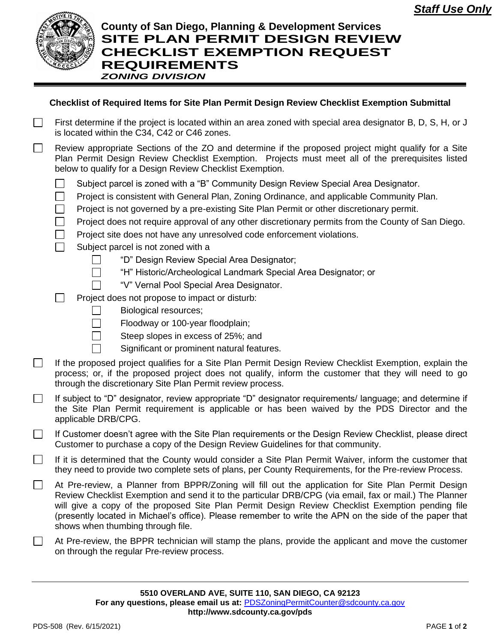

## **County of San Diego, Planning & Development Services SITE PLAN PERMIT DESIGN REVIEW CHECKLIST EXEMPTION REQUEST REQUIREMENTS** *ZONING DIVISION*

## **Checklist of Required Items for Site Plan Permit Design Review Checklist Exemption Submittal**

- First determine if the project is located within an area zoned with special area designator B, D, S, H, or J  $\Box$ is located within the C34, C42 or C46 zones.
	- Review appropriate Sections of the ZO and determine if the proposed project might qualify for a Site Plan Permit Design Review Checklist Exemption. Projects must meet all of the prerequisites listed below to qualify for a Design Review Checklist Exemption.
		- Subject parcel is zoned with a "B" Community Design Review Special Area Designator. П
		- $\Box$ Project is consistent with General Plan, Zoning Ordinance, and applicable Community Plan.
		- Project is not governed by a pre-existing Site Plan Permit or other discretionary permit.
		- $\mathcal{L}$ Project does not require approval of any other discretionary permits from the County of San Diego.
		- $\Box$ Project site does not have any unresolved code enforcement violations.
		- П Subject parcel is not zoned with a

 $\mathsf{L}$  $\Box$ 

- "D" Design Review Special Area Designator;
- "H" Historic/Archeological Landmark Special Area Designator; or
- "V" Vernal Pool Special Area Designator.
- П Project does not propose to impact or disturb:
	- Biological resources;
	- $\Box$ Floodway or 100-year floodplain;
	- Steep slopes in excess of 25%; and  $\Box$
	- Significant or prominent natural features.
- If the proposed project qualifies for a Site Plan Permit Design Review Checklist Exemption, explain the  $\Box$ process; or, if the proposed project does not qualify, inform the customer that they will need to go through the discretionary Site Plan Permit review process.
- $\mathbb{R}^n$ If subject to "D" designator, review appropriate "D" designator requirements/ language; and determine if the Site Plan Permit requirement is applicable or has been waived by the PDS Director and the applicable DRB/CPG.
- If Customer doesn't agree with the Site Plan requirements or the Design Review Checklist, please direct  $\mathbf{L}$ Customer to purchase a copy of the Design Review Guidelines for that community.
- $\Box$ If it is determined that the County would consider a Site Plan Permit Waiver, inform the customer that they need to provide two complete sets of plans, per County Requirements, for the Pre-review Process.
- $\Box$ At Pre-review, a Planner from BPPR/Zoning will fill out the application for Site Plan Permit Design Review Checklist Exemption and send it to the particular DRB/CPG (via email, fax or mail.) The Planner will give a copy of the proposed Site Plan Permit Design Review Checklist Exemption pending file (presently located in Michael's office). Please remember to write the APN on the side of the paper that shows when thumbing through file.
- At Pre-review, the BPPR technician will stamp the plans, provide the applicant and move the customer  $\mathbf{1}$ on through the regular Pre-review process.